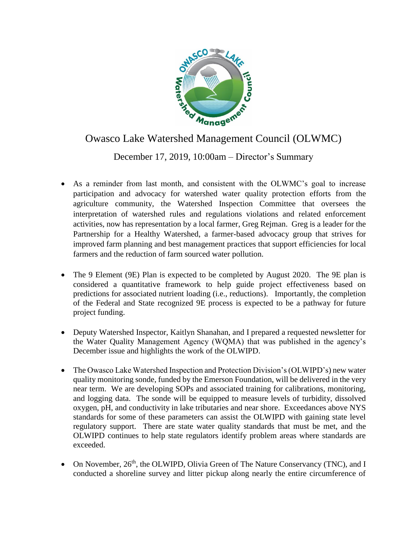

## Owasco Lake Watershed Management Council (OLWMC)

## December 17, 2019, 10:00am – Director's Summary

- As a reminder from last month, and consistent with the OLWMC's goal to increase participation and advocacy for watershed water quality protection efforts from the agriculture community, the Watershed Inspection Committee that oversees the interpretation of watershed rules and regulations violations and related enforcement activities, now has representation by a local farmer, Greg Rejman. Greg is a leader for the Partnership for a Healthy Watershed, a farmer-based advocacy group that strives for improved farm planning and best management practices that support efficiencies for local farmers and the reduction of farm sourced water pollution.
- The 9 Element (9E) Plan is expected to be completed by August 2020. The 9E plan is considered a quantitative framework to help guide project effectiveness based on predictions for associated nutrient loading (i.e., reductions). Importantly, the completion of the Federal and State recognized 9E process is expected to be a pathway for future project funding.
- Deputy Watershed Inspector, Kaitlyn Shanahan, and I prepared a requested newsletter for the Water Quality Management Agency (WQMA) that was published in the agency's December issue and highlights the work of the OLWIPD.
- The Owasco Lake Watershed Inspection and Protection Division's (OLWIPD's) new water quality monitoring sonde, funded by the Emerson Foundation, will be delivered in the very near term. We are developing SOPs and associated training for calibrations, monitoring, and logging data. The sonde will be equipped to measure levels of turbidity, dissolved oxygen, pH, and conductivity in lake tributaries and near shore. Exceedances above NYS standards for some of these parameters can assist the OLWIPD with gaining state level regulatory support. There are state water quality standards that must be met, and the OLWIPD continues to help state regulators identify problem areas where standards are exceeded.
- On November,  $26<sup>th</sup>$ , the OLWIPD, Olivia Green of The Nature Conservancy (TNC), and I conducted a shoreline survey and litter pickup along nearly the entire circumference of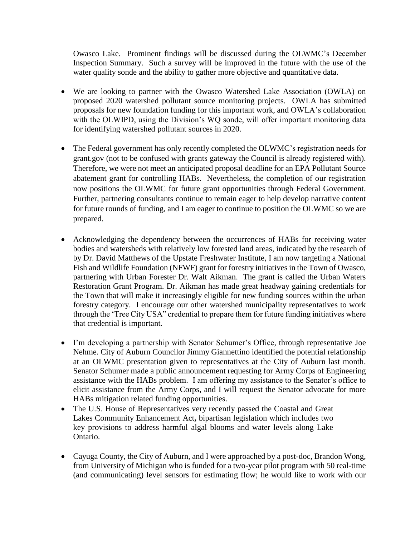Owasco Lake. Prominent findings will be discussed during the OLWMC's December Inspection Summary. Such a survey will be improved in the future with the use of the water quality sonde and the ability to gather more objective and quantitative data.

- We are looking to partner with the Owasco Watershed Lake Association (OWLA) on proposed 2020 watershed pollutant source monitoring projects. OWLA has submitted proposals for new foundation funding for this important work, and OWLA's collaboration with the OLWIPD, using the Division's WQ sonde, will offer important monitoring data for identifying watershed pollutant sources in 2020.
- The Federal government has only recently completed the OLWMC's registration needs for grant.gov (not to be confused with grants gateway the Council is already registered with). Therefore, we were not meet an anticipated proposal deadline for an EPA Pollutant Source abatement grant for controlling HABs. Nevertheless, the completion of our registration now positions the OLWMC for future grant opportunities through Federal Government. Further, partnering consultants continue to remain eager to help develop narrative content for future rounds of funding, and I am eager to continue to position the OLWMC so we are prepared.
- Acknowledging the dependency between the occurrences of HABs for receiving water bodies and watersheds with relatively low forested land areas, indicated by the research of by Dr. David Matthews of the Upstate Freshwater Institute, I am now targeting a National Fish and Wildlife Foundation (NFWF) grant for forestry initiatives in the Town of Owasco, partnering with Urban Forester Dr. Walt Aikman. The grant is called the Urban Waters Restoration Grant Program. Dr. Aikman has made great headway gaining credentials for the Town that will make it increasingly eligible for new funding sources within the urban forestry category. I encourage our other watershed municipality representatives to work through the 'Tree City USA" credential to prepare them for future funding initiatives where that credential is important.
- I'm developing a partnership with Senator Schumer's Office, through representative Joe Nehme. City of Auburn Councilor Jimmy Giannettino identified the potential relationship at an OLWMC presentation given to representatives at the City of Auburn last month. Senator Schumer made a public announcement requesting for Army Corps of Engineering assistance with the HABs problem. I am offering my assistance to the Senator's office to elicit assistance from the Army Corps, and I will request the Senator advocate for more HABs mitigation related funding opportunities.
- The U.S. House of Representatives very recently passed the Coastal and Great Lakes Community Enhancement Act**,** bipartisan legislation which includes two key provisions to address harmful algal blooms and water levels along Lake Ontario.
- Cayuga County, the City of Auburn, and I were approached by a post-doc, Brandon Wong, from University of Michigan who is funded for a two-year pilot program with 50 real-time (and communicating) level sensors for estimating flow; he would like to work with our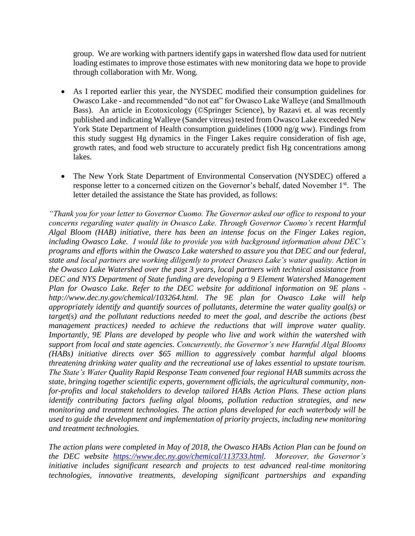group. We are working with partners identify gaps in watershed flow data used for nutrient loading estimates to improve those estimates with new monitoring data we hope to provide through collaboration with Mr. Wong.

- As I reported earlier this year, the NYSDEC modified their consumption guidelines for Owasco Lake - and recommended "do not eat" for Owasco Lake Walleye (and Smallmouth Bass). An article in Ecotoxicology (©Springer Science), by Razavi et. al was recently published and indicating Walleye (Sander vitreus) tested from Owasco Lake exceeded New York State Department of Health consumption guidelines (1000 ng/g ww). Findings from this study suggest Hg dynamics in the Finger Lakes require consideration of fish age, growth rates, and food web structure to accurately predict fish Hg concentrations among lakes.
- The New York State Department of Environmental Conservation (NYSDEC) offered a response letter to a concerned citizen on the Governor's behalf, dated November 1<sup>st</sup>. The letter detailed the assistance the State has provided, as follows:

*"Thank you for your letter to Governor Cuomo. The Governor asked our office to respond to your concerns regarding water quality in Owasco Lake. Through Governor Cuomo's recent Harmful Algal Bloom (HAB) initiative, there has been an intense focus on the Finger Lakes region, including Owasco Lake. I would like to provide you with background information about DEC's programs and efforts within the Owasco Lake watershed to assure you that DEC and our federal, state and local partners are working diligently to protect Owasco Lake's water quality. Action in the Owasco Lake Watershed over the past 3 years, local partners with technical assistance from DEC and NYS Department of State funding are developing a 9 Element Watershed Management Plan for Owasco Lake. Refer to the DEC website for additional information on 9E plans http://www.dec.ny.gov/chemical/103264.html. The 9E plan for Owasco Lake will help appropriately identify and quantify sources of pollutants, determine the water quality goal(s) or target(s) and the pollutant reductions needed to meet the goal, and describe the actions (best management practices) needed to achieve the reductions that will improve water quality. Importantly, 9E Plans are developed by people who live and work within the watershed with support from local and state agencies. Concurrently, the Governor's new Harmful Algal Blooms (HABs) initiative directs over \$65 million to aggressively combat harmful algal blooms threatening drinking water quality and the recreational use of lakes essential to upstate tourism. The State's Water Quality Rapid Response Team convened four regional HAB summits across the state, bringing together scientific experts, government officials, the agricultural community, nonfor-profits and local stakeholders to develop tailored HABs Action Plans. These action plans identify contributing factors fueling algal blooms, pollution reduction strategies, and new monitoring and treatment technologies. The action plans developed for each waterbody will be used to guide the development and implementation of priority projects, including new monitoring and treatment technologies.*

*The action plans were completed in May of 2018, the Owasco HABs Action Plan can be found on the DEC website [https://www.dec.ny.gov/chemical/113733.html.](https://www.dec.ny.gov/chemical/113733.html) Moreover, the Governor's initiative includes significant research and projects to test advanced real-time monitoring technologies, innovative treatments, developing significant partnerships and expanding*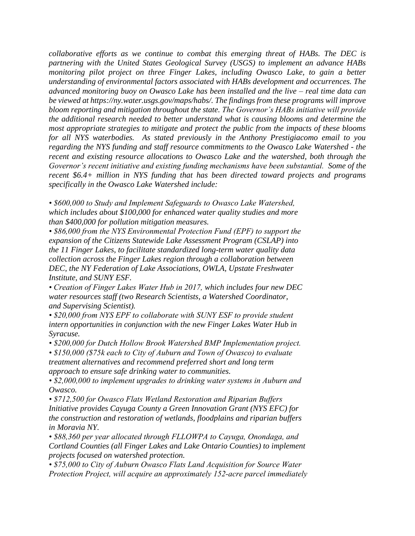*collaborative efforts as we continue to combat this emerging threat of HABs. The DEC is partnering with the United States Geological Survey (USGS) to implement an advance HABs monitoring pilot project on three Finger Lakes, including Owasco Lake, to gain a better understanding of environmental factors associated with HABs development and occurrences. The advanced monitoring buoy on Owasco Lake has been installed and the live – real time data can be viewed at https://ny.water.usgs.gov/maps/habs/. The findings from these programs will improve bloom reporting and mitigation throughout the state. The Governor's HABs initiative will provide the additional research needed to better understand what is causing blooms and determine the most appropriate strategies to mitigate and protect the public from the impacts of these blooms for all NYS waterbodies. As stated previously in the Anthony Prestigiacomo email to you regarding the NYS funding and staff resource commitments to the Owasco Lake Watershed - the recent and existing resource allocations to Owasco Lake and the watershed, both through the Governor's recent initiative and existing funding mechanisms have been substantial. Some of the recent \$6.4+ million in NYS funding that has been directed toward projects and programs specifically in the Owasco Lake Watershed include:*

*• \$600,000 to Study and Implement Safeguards to Owasco Lake Watershed, which includes about \$100,000 for enhanced water quality studies and more than \$400,000 for pollution mitigation measures.*

*• \$86,000 from the NYS Environmental Protection Fund (EPF) to support the expansion of the Citizens Statewide Lake Assessment Program (CSLAP) into the 11 Finger Lakes, to facilitate standardized long-term water quality data collection across the Finger Lakes region through a collaboration between DEC, the NY Federation of Lake Associations, OWLA, Upstate Freshwater Institute, and SUNY ESF.*

*• Creation of Finger Lakes Water Hub in 2017, which includes four new DEC water resources staff (two Research Scientists, a Watershed Coordinator, and Supervising Scientist).*

*• \$20,000 from NYS EPF to collaborate with SUNY ESF to provide student intern opportunities in conjunction with the new Finger Lakes Water Hub in Syracuse.*

*• \$200,000 for Dutch Hollow Brook Watershed BMP Implementation project.*

*• \$150,000 (\$75k each to City of Auburn and Town of Owasco) to evaluate treatment alternatives and recommend preferred short and long term approach to ensure safe drinking water to communities.*

*• \$2,000,000 to implement upgrades to drinking water systems in Auburn and Owasco.*

*• \$712,500 for Owasco Flats Wetland Restoration and Riparian Buffers Initiative provides Cayuga County a Green Innovation Grant (NYS EFC) for the construction and restoration of wetlands, floodplains and riparian buffers in Moravia NY.*

*• \$88,360 per year allocated through FLLOWPA to Cayuga, Onondaga, and Cortland Counties (all Finger Lakes and Lake Ontario Counties) to implement projects focused on watershed protection.*

*• \$75,000 to City of Auburn Owasco Flats Land Acquisition for Source Water Protection Project, will acquire an approximately 152‐acre parcel immediately*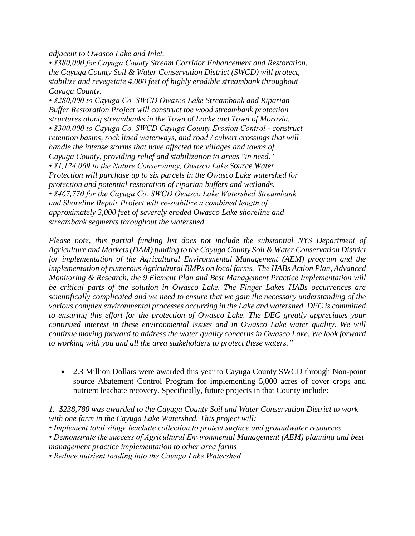*adjacent to Owasco Lake and Inlet.*

*• \$380,000 for Cayuga County Stream Corridor Enhancement and Restoration, the Cayuga County Soil & Water Conservation District (SWCD) will protect, stabilize and revegetate 4,000 feet of highly erodible streambank throughout Cayuga County.*

*• \$280,000 to Cayuga Co. SWCD Owasco Lake Streambank and Riparian Buffer Restoration Project will construct toe wood streambank protection structures along streambanks in the Town of Locke and Town of Moravia. • \$300,000 to Cayuga Co. SWCD Cayuga County Erosion Control - construct retention basins, rock lined waterways, and road / culvert crossings that will handle the intense storms that have affected the villages and towns of Cayuga County, providing relief and stabilization to areas "in need." • \$1,124,069 to the Nature Conservancy, Owasco Lake Source Water Protection will purchase up to six parcels in the Owasco Lake watershed for protection and potential restoration of riparian buffers and wetlands. • \$467,770 for the Cayuga Co. SWCD Owasco Lake Watershed Streambank and Shoreline Repair Project will re‐stabilize a combined length of approximately 3,000 feet of severely eroded Owasco Lake shoreline and streambank segments throughout the watershed.*

*Please note, this partial funding list does not include the substantial NYS Department of Agriculture and Markets (DAM) funding to the Cayuga County Soil & Water Conservation District for implementation of the Agricultural Environmental Management (AEM) program and the implementation of numerous Agricultural BMPs on local farms. The HABs Action Plan, Advanced Monitoring & Research, the 9 Element Plan and Best Management Practice Implementation will be critical parts of the solution in Owasco Lake. The Finger Lakes HABs occurrences are scientifically complicated and we need to ensure that we gain the necessary understanding of the various complex environmental processes occurring in the Lake and watershed. DEC is committed to ensuring this effort for the protection of Owasco Lake. The DEC greatly appreciates your continued interest in these environmental issues and in Owasco Lake water quality. We will continue moving forward to address the water quality concerns in Owasco Lake. We look forward to working with you and all the area stakeholders to protect these waters."*

• 2.3 Million Dollars were awarded this year to Cayuga County SWCD through Non-point source Abatement Control Program for implementing 5,000 acres of cover crops and nutrient leachate recovery. Specifically, future projects in that County include:

*1. \$238,780 was awarded to the Cayuga County Soil and Water Conservation District to work with one farm in the Cayuga Lake Watershed. This project will:*

*• Implement total silage leachate collection to protect surface and groundwater resources*

*• Demonstrate the success of Agricultural Environmental Management (AEM) planning and best management practice implementation to other area farms*

*• Reduce nutrient loading into the Cayuga Lake Watershed*